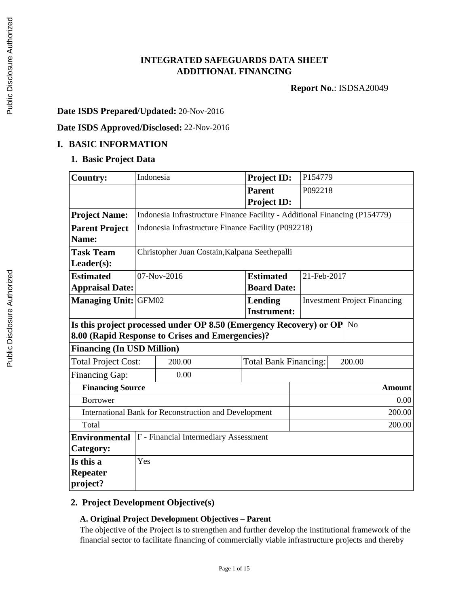## **INTEGRATED SAFEGUARDS DATA SHEET ADDITIONAL FINANCING**

**Report No.**: ISDSA20049

### **Date ISDS Prepared/Updated:** 20-Nov-2016

### **Date ISDS Approved/Disclosed:** 22-Nov-2016

#### **I. BASIC INFORMATION**

### **1. Basic Project Data**

| <b>Country:</b>                                  | Indonesia                                                             |                                                                            | <b>Project ID:</b> | P154779       |                                     |  |
|--------------------------------------------------|-----------------------------------------------------------------------|----------------------------------------------------------------------------|--------------------|---------------|-------------------------------------|--|
|                                                  |                                                                       |                                                                            | <b>Parent</b>      | P092218       |                                     |  |
|                                                  |                                                                       |                                                                            | <b>Project ID:</b> |               |                                     |  |
| <b>Project Name:</b>                             |                                                                       | Indonesia Infrastructure Finance Facility - Additional Financing (P154779) |                    |               |                                     |  |
| <b>Parent Project</b>                            |                                                                       | Indonesia Infrastructure Finance Facility (P092218)                        |                    |               |                                     |  |
| Name:                                            |                                                                       |                                                                            |                    |               |                                     |  |
| <b>Task Team</b>                                 |                                                                       | Christopher Juan Costain, Kalpana Seethepalli                              |                    |               |                                     |  |
| Leader(s):                                       |                                                                       |                                                                            |                    |               |                                     |  |
| <b>Estimated</b>                                 |                                                                       | 07-Nov-2016                                                                | <b>Estimated</b>   | 21-Feb-2017   |                                     |  |
| <b>Appraisal Date:</b>                           |                                                                       |                                                                            | <b>Board Date:</b> |               |                                     |  |
| <b>Managing Unit:</b>                            | GFM02                                                                 |                                                                            | <b>Lending</b>     |               | <b>Investment Project Financing</b> |  |
|                                                  |                                                                       |                                                                            | <b>Instrument:</b> |               |                                     |  |
|                                                  | Is this project processed under OP 8.50 (Emergency Recovery) or OP No |                                                                            |                    |               |                                     |  |
| 8.00 (Rapid Response to Crises and Emergencies)? |                                                                       |                                                                            |                    |               |                                     |  |
| <b>Financing (In USD Million)</b>                |                                                                       |                                                                            |                    |               |                                     |  |
| <b>Total Project Cost:</b>                       | 200.00<br><b>Total Bank Financing:</b><br>200.00                      |                                                                            |                    |               |                                     |  |
| Financing Gap:                                   |                                                                       | 0.00                                                                       |                    |               |                                     |  |
|                                                  | <b>Financing Source</b>                                               |                                                                            |                    | <b>Amount</b> |                                     |  |
| <b>Borrower</b>                                  |                                                                       |                                                                            |                    |               | 0.00                                |  |
|                                                  | International Bank for Reconstruction and Development                 |                                                                            |                    |               | 200.00                              |  |
| Total                                            | 200.00                                                                |                                                                            |                    |               |                                     |  |
| <b>Environmental</b>                             | F - Financial Intermediary Assessment                                 |                                                                            |                    |               |                                     |  |
| Category:                                        |                                                                       |                                                                            |                    |               |                                     |  |
| Is this a                                        | Yes                                                                   |                                                                            |                    |               |                                     |  |
| <b>Repeater</b>                                  |                                                                       |                                                                            |                    |               |                                     |  |
| project?                                         |                                                                       |                                                                            |                    |               |                                     |  |

### **2. Project Development Objective(s)**

#### **A. Original Project Development Objectives – Parent**

The objective of the Project is to strengthen and further develop the institutional framework of the financial sector to facilitate financing of commercially viable infrastructure projects and thereby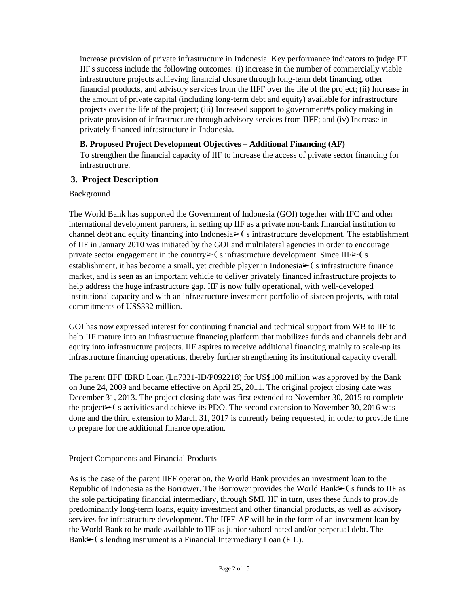increase provision of private infrastructure in Indonesia. Key performance indicators to judge PT. IIF's success include the following outcomes: (i) increase in the number of commercially viable infrastructure projects achieving financial closure through long-term debt financing, other financial products, and advisory services from the IIFF over the life of the project; (ii) Increase in the amount of private capital (including long-term debt and equity) available for infrastructure projects over the life of the project; (iii) Increased support to government#s policy making in private provision of infrastructure through advisory services from IIFF; and (iv) Increase in privately financed infrastructure in Indonesia.

#### **B. Proposed Project Development Objectives – Additional Financing (AF)**

To strengthen the financial capacity of IIF to increase the access of private sector financing for infrastructrure.

### **3. Project Description**

Background

The World Bank has supported the Government of Indonesia (GOI) together with IFC and other international development partners, in setting up IIF as a private non-bank financial institution to channel debt and equity financing into Indonesia $\triangleright$  (s infrastructure development. The establishment of IIF in January 2010 was initiated by the GOI and multilateral agencies in order to encourage private sector engagement in the country $\triangleright$  (sinfrastructure development. Since IIF $\triangleright$  (s establishment, it has become a small, yet credible player in Indonesia $\triangleright$  (s infrastructure finance market, and is seen as an important vehicle to deliver privately financed infrastructure projects to help address the huge infrastructure gap. IIF is now fully operational, with well-developed institutional capacity and with an infrastructure investment portfolio of sixteen projects, with total commitments of US\$332 million.

GOI has now expressed interest for continuing financial and technical support from WB to IIF to help IIF mature into an infrastructure financing platform that mobilizes funds and channels debt and equity into infrastructure projects. IIF aspires to receive additional financing mainly to scale-up its infrastructure financing operations, thereby further strengthening its institutional capacity overall.

The parent IIFF IBRD Loan (Ln7331-ID/P092218) for US\$100 million was approved by the Bank on June 24, 2009 and became effective on April 25, 2011. The original project closing date was December 31, 2013. The project closing date was first extended to November 30, 2015 to complete the project $\blacktriangleright$  (s activities and achieve its PDO. The second extension to November 30, 2016 was done and the third extension to March 31, 2017 is currently being requested, in order to provide time to prepare for the additional finance operation.

#### Project Components and Financial Products

As is the case of the parent IIFF operation, the World Bank provides an investment loan to the Republic of Indonesia as the Borrower. The Borrower provides the World Bank $\blacktriangleright$  (s funds to IIF as the sole participating financial intermediary, through SMI. IIF in turn, uses these funds to provide predominantly long-term loans, equity investment and other financial products, as well as advisory services for infrastructure development. The IIFF-AF will be in the form of an investment loan by the World Bank to be made available to IIF as junior subordinated and/or perpetual debt. The Bank $\triangleright$  (s lending instrument is a Financial Intermediary Loan (FIL).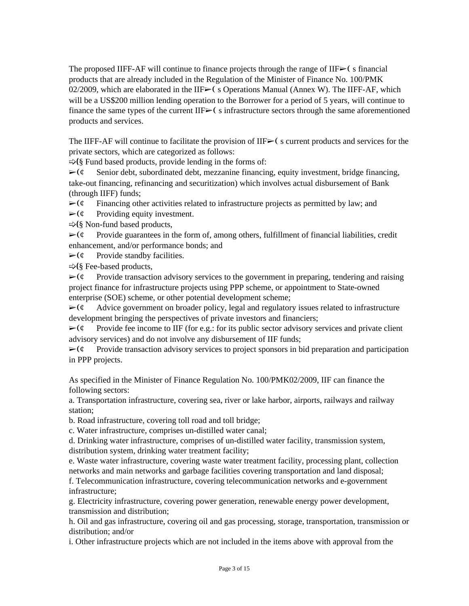The proposed IIFF-AF will continue to finance projects through the range of IIF $\blacktriangleright$  (s financial products that are already included in the Regulation of the Minister of Finance No. 100/PMK 02/2009, which are elaborated in the IIF $\geq$  (s Operations Manual (Annex W). The IIFF-AF, which will be a US\$200 million lending operation to the Borrower for a period of 5 years, will continue to finance the same types of the current IIF $\geq$  (s infrastructure sectors through the same aforementioned products and services.

The IIFF-AF will continue to facilitate the provision of IIF $\geq$  (s current products and services for the private sectors, which are categorized as follows:

 $\Rightarrow$ (§ Fund based products, provide lending in the forms of:

 $\triangleright$  ( $\circ$  Senior debt, subordinated debt, mezzanine financing, equity investment, bridge financing, take-out financing, refinancing and securitization) which involves actual disbursement of Bank (through IIFF) funds;

 $\triangleright$  ( $\epsilon$  Financing other activities related to infrastructure projects as permitted by law; and

 $\triangleright$  ( $\phi$  Providing equity investment.

 $\Rightarrow$  (§ Non-fund based products,

 $\triangleright$  ( $\phi$  Provide guarantees in the form of, among others, fulfillment of financial liabilities, credit enhancement, and/or performance bonds; and

 $\triangleright$  ( $\circ$  Provide standby facilities.

➯❪§ Fee-based products,

 $\triangleright$  ( $\epsilon$  Provide transaction advisory services to the government in preparing, tendering and raising project finance for infrastructure projects using PPP scheme, or appointment to State-owned enterprise (SOE) scheme, or other potential development scheme;

 $\triangleright$  ( $\ell$  Advice government on broader policy, legal and regulatory issues related to infrastructure development bringing the perspectives of private investors and financiers;

 $\triangleright$  ( $\phi$  Provide fee income to IIF (for e.g.: for its public sector advisory services and private client advisory services) and do not involve any disbursement of IIF funds;

 $\triangleright$  ( $\circ$  Provide transaction advisory services to project sponsors in bid preparation and participation in PPP projects.

As specified in the Minister of Finance Regulation No. 100/PMK02/2009, IIF can finance the following sectors:

a. Transportation infrastructure, covering sea, river or lake harbor, airports, railways and railway station;

b. Road infrastructure, covering toll road and toll bridge;

c. Water infrastructure, comprises un-distilled water canal;

d. Drinking water infrastructure, comprises of un-distilled water facility, transmission system, distribution system, drinking water treatment facility;

e. Waste water infrastructure, covering waste water treatment facility, processing plant, collection networks and main networks and garbage facilities covering transportation and land disposal;

f. Telecommunication infrastructure, covering telecommunication networks and e-government infrastructure;

g. Electricity infrastructure, covering power generation, renewable energy power development, transmission and distribution;

h. Oil and gas infrastructure, covering oil and gas processing, storage, transportation, transmission or distribution; and/or

i. Other infrastructure projects which are not included in the items above with approval from the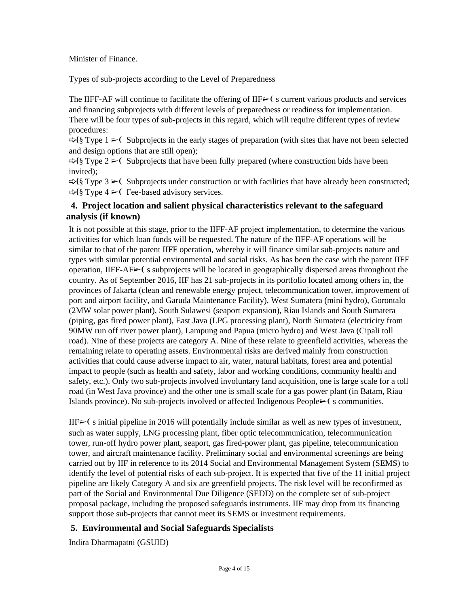Minister of Finance.

Types of sub-projects according to the Level of Preparedness

The IIFF-AF will continue to facilitate the offering of  $IIF\rightarrow$  (s current various products and services and financing subprojects with different levels of preparedness or readiness for implementation. There will be four types of sub-projects in this regard, which will require different types of review procedures:

 $\Rightarrow$ (§ Type 1  $\geq$ ( Subprojects in the early stages of preparation (with sites that have not been selected and design options that are still open);

 $\Rightarrow$  (§ Type 2  $\triangleright$  C Subprojects that have been fully prepared (where construction bids have been invited);

 $\Rightarrow$ (§ Type 3  $\geq$  Subprojects under construction or with facilities that have already been constructed;  $\Rightarrow$ (§ Type 4  $\geq$  Fee-based advisory services.

### **4. Project location and salient physical characteristics relevant to the safeguard analysis (if known)**

It is not possible at this stage, prior to the IIFF-AF project implementation, to determine the various activities for which loan funds will be requested. The nature of the IIFF-AF operations will be similar to that of the parent IIFF operation, whereby it will finance similar sub-projects nature and types with similar potential environmental and social risks. As has been the case with the parent IIFF operation, IIFF-AF $\triangleright$  (s subprojects will be located in geographically dispersed areas throughout the country. As of September 2016, IIF has 21 sub-projects in its portfolio located among others in, the provinces of Jakarta (clean and renewable energy project, telecommunication tower, improvement of port and airport facility, and Garuda Maintenance Facility), West Sumatera (mini hydro), Gorontalo (2MW solar power plant), South Sulawesi (seaport expansion), Riau Islands and South Sumatera (piping, gas fired power plant), East Java (LPG processing plant), North Sumatera (electricity from 90MW run off river power plant), Lampung and Papua (micro hydro) and West Java (Cipali toll road). Nine of these projects are category A. Nine of these relate to greenfield activities, whereas the remaining relate to operating assets. Environmental risks are derived mainly from construction activities that could cause adverse impact to air, water, natural habitats, forest area and potential impact to people (such as health and safety, labor and working conditions, community health and safety, etc.). Only two sub-projects involved involuntary land acquisition, one is large scale for a toll road (in West Java province) and the other one is small scale for a gas power plant (in Batam, Riau Islands province). No sub-projects involved or affected Indigenous People $\blacktriangleright$  (secommunities.

 $IIF\rightarrow$ ( s initial pipeline in 2016 will potentially include similar as well as new types of investment, such as water supply, LNG processing plant, fiber optic telecommunication, telecommunication tower, run-off hydro power plant, seaport, gas fired-power plant, gas pipeline, telecommunication tower, and aircraft maintenance facility. Preliminary social and environmental screenings are being carried out by IIF in reference to its 2014 Social and Environmental Management System (SEMS) to identify the level of potential risks of each sub-project. It is expected that five of the 11 initial project pipeline are likely Category A and six are greenfield projects. The risk level will be reconfirmed as part of the Social and Environmental Due Diligence (SEDD) on the complete set of sub-project proposal package, including the proposed safeguards instruments. IIF may drop from its financing support those sub-projects that cannot meet its SEMS or investment requirements.

## **5. Environmental and Social Safeguards Specialists**

Indira Dharmapatni (GSUID)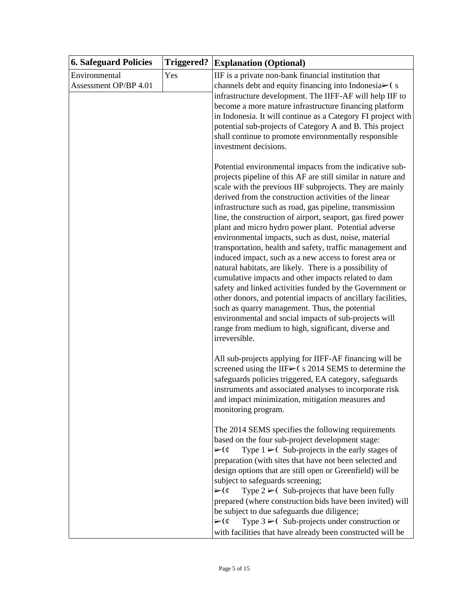| <b>6. Safeguard Policies</b>           | <b>Triggered?</b> | <b>Explanation (Optional)</b>                                                                                                                                                                                                                                                                                                                                                                                                                                                                                                                                                                                                                                                                                                                                                                                                                                                                                                                                                                                                                    |
|----------------------------------------|-------------------|--------------------------------------------------------------------------------------------------------------------------------------------------------------------------------------------------------------------------------------------------------------------------------------------------------------------------------------------------------------------------------------------------------------------------------------------------------------------------------------------------------------------------------------------------------------------------------------------------------------------------------------------------------------------------------------------------------------------------------------------------------------------------------------------------------------------------------------------------------------------------------------------------------------------------------------------------------------------------------------------------------------------------------------------------|
| Environmental<br>Assessment OP/BP 4.01 | Yes               | IIF is a private non-bank financial institution that<br>channels debt and equity financing into Indonesia⊳(s<br>infrastructure development. The IIFF-AF will help IIF to<br>become a more mature infrastructure financing platform<br>in Indonesia. It will continue as a Category FI project with<br>potential sub-projects of Category A and B. This project<br>shall continue to promote environmentally responsible<br>investment decisions.                                                                                                                                                                                                                                                                                                                                                                                                                                                                                                                                                                                                 |
|                                        |                   | Potential environmental impacts from the indicative sub-<br>projects pipeline of this AF are still similar in nature and<br>scale with the previous IIF subprojects. They are mainly<br>derived from the construction activities of the linear<br>infrastructure such as road, gas pipeline, transmission<br>line, the construction of airport, seaport, gas fired power<br>plant and micro hydro power plant. Potential adverse<br>environmental impacts, such as dust, noise, material<br>transportation, health and safety, traffic management and<br>induced impact, such as a new access to forest area or<br>natural habitats, are likely. There is a possibility of<br>cumulative impacts and other impacts related to dam<br>safety and linked activities funded by the Government or<br>other donors, and potential impacts of ancillary facilities,<br>such as quarry management. Thus, the potential<br>environmental and social impacts of sub-projects will<br>range from medium to high, significant, diverse and<br>irreversible. |
|                                        |                   | All sub-projects applying for IIFF-AF financing will be<br>screened using the IIF $\triangleright$ ( s 2014 SEMS to determine the<br>safeguards policies triggered, EA category, safeguards<br>instruments and associated analyses to incorporate risk<br>and impact minimization, mitigation measures and<br>monitoring program.                                                                                                                                                                                                                                                                                                                                                                                                                                                                                                                                                                                                                                                                                                                |
|                                        |                   | The 2014 SEMS specifies the following requirements<br>based on the four sub-project development stage:<br>$\triangleright$ (¢<br>Type $1 \geq C$ Sub-projects in the early stages of<br>preparation (with sites that have not been selected and<br>design options that are still open or Greenfield) will be<br>subject to safeguards screening;<br>Type $2 \geq C$ Sub-projects that have been fully<br>$\triangleright$ (¢<br>prepared (where construction bids have been invited) will<br>be subject to due safeguards due diligence;<br>Type $3 \geq C$ Sub-projects under construction or<br>$\triangleright$ (¢<br>with facilities that have already been constructed will be                                                                                                                                                                                                                                                                                                                                                              |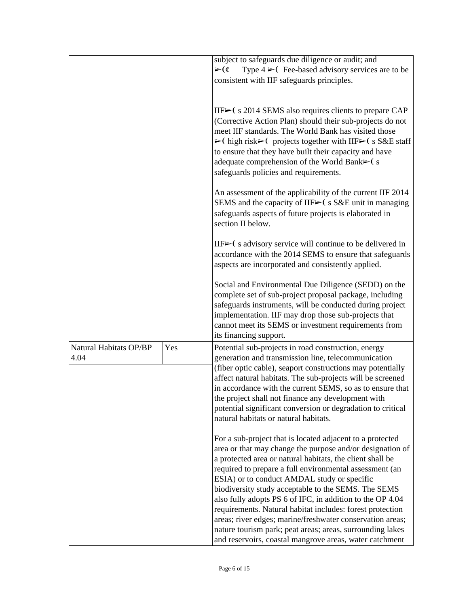|                        |     | subject to safeguards due diligence or audit; and                                                            |
|------------------------|-----|--------------------------------------------------------------------------------------------------------------|
|                        |     | Type $4 \geq 0$ Fee-based advisory services are to be<br>$\triangleright$ (¢                                 |
|                        |     | consistent with IIF safeguards principles.                                                                   |
|                        |     |                                                                                                              |
|                        |     | IIF $\blacktriangleright$ (s 2014 SEMS also requires clients to prepare CAP                                  |
|                        |     | (Corrective Action Plan) should their sub-projects do not                                                    |
|                        |     | meet IIF standards. The World Bank has visited those                                                         |
|                        |     | $\triangleright$ (high risk $\triangleright$ (projects together with IIF $\triangleright$ (s S&E staff)      |
|                        |     | to ensure that they have built their capacity and have                                                       |
|                        |     | adequate comprehension of the World Bank≻(s                                                                  |
|                        |     | safeguards policies and requirements.                                                                        |
|                        |     | An assessment of the applicability of the current IIF 2014                                                   |
|                        |     | SEMS and the capacity of IIF $\triangleright$ (s S&E unit in managing                                        |
|                        |     | safeguards aspects of future projects is elaborated in<br>section II below.                                  |
|                        |     | IIF $\triangleright$ (s advisory service will continue to be delivered in                                    |
|                        |     | accordance with the 2014 SEMS to ensure that safeguards                                                      |
|                        |     | aspects are incorporated and consistently applied.                                                           |
|                        |     |                                                                                                              |
|                        |     | Social and Environmental Due Diligence (SEDD) on the                                                         |
|                        |     | complete set of sub-project proposal package, including                                                      |
|                        |     | safeguards instruments, will be conducted during project                                                     |
|                        |     | implementation. IIF may drop those sub-projects that<br>cannot meet its SEMS or investment requirements from |
|                        |     | its financing support.                                                                                       |
| Natural Habitats OP/BP | Yes | Potential sub-projects in road construction, energy                                                          |
| 4.04                   |     | generation and transmission line, telecommunication                                                          |
|                        |     | (fiber optic cable), seaport constructions may potentially                                                   |
|                        |     | affect natural habitats. The sub-projects will be screened                                                   |
|                        |     | in accordance with the current SEMS, so as to ensure that                                                    |
|                        |     | the project shall not finance any development with                                                           |
|                        |     | potential significant conversion or degradation to critical                                                  |
|                        |     | natural habitats or natural habitats.                                                                        |
|                        |     | For a sub-project that is located adjacent to a protected                                                    |
|                        |     | area or that may change the purpose and/or designation of                                                    |
|                        |     | a protected area or natural habitats, the client shall be                                                    |
|                        |     | required to prepare a full environmental assessment (an                                                      |
|                        |     | ESIA) or to conduct AMDAL study or specific                                                                  |
|                        |     | biodiversity study acceptable to the SEMS. The SEMS                                                          |
|                        |     | also fully adopts PS 6 of IFC, in addition to the OP 4.04                                                    |
|                        |     | requirements. Natural habitat includes: forest protection                                                    |
|                        |     | areas; river edges; marine/freshwater conservation areas;                                                    |
|                        |     | nature tourism park; peat areas; areas, surrounding lakes                                                    |
|                        |     | and reservoirs, coastal mangrove areas, water catchment                                                      |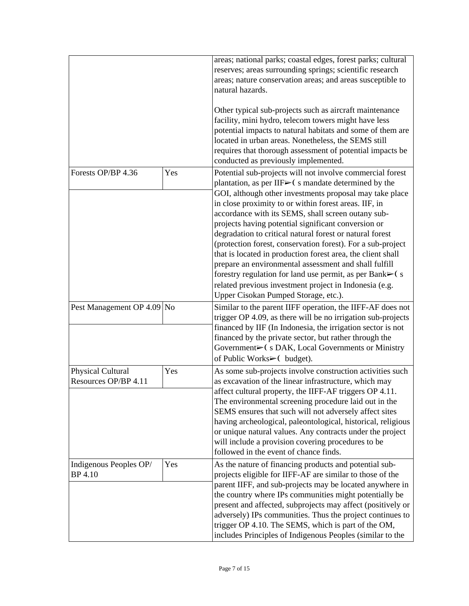|                                           |     | areas; national parks; coastal edges, forest parks; cultural<br>reserves; areas surrounding springs; scientific research<br>areas; nature conservation areas; and areas susceptible to<br>natural hazards.<br>Other typical sub-projects such as aircraft maintenance<br>facility, mini hydro, telecom towers might have less<br>potential impacts to natural habitats and some of them are<br>located in urban areas. Nonetheless, the SEMS still<br>requires that thorough assessment of potential impacts be<br>conducted as previously implemented.                                                                                                             |
|-------------------------------------------|-----|---------------------------------------------------------------------------------------------------------------------------------------------------------------------------------------------------------------------------------------------------------------------------------------------------------------------------------------------------------------------------------------------------------------------------------------------------------------------------------------------------------------------------------------------------------------------------------------------------------------------------------------------------------------------|
| Forests OP/BP 4.36                        | Yes | Potential sub-projects will not involve commercial forest<br>plantation, as per IIF $\blacktriangleright$ (s mandate determined by the                                                                                                                                                                                                                                                                                                                                                                                                                                                                                                                              |
|                                           |     | GOI, although other investments proposal may take place<br>in close proximity to or within forest areas. IIF, in<br>accordance with its SEMS, shall screen outany sub-<br>projects having potential significant conversion or<br>degradation to critical natural forest or natural forest<br>(protection forest, conservation forest). For a sub-project<br>that is located in production forest area, the client shall<br>prepare an environmental assessment and shall fulfill<br>forestry regulation for land use permit, as per Bank $\blacktriangleright$ (s<br>related previous investment project in Indonesia (e.g.<br>Upper Cisokan Pumped Storage, etc.). |
| Pest Management OP 4.09 No                |     | Similar to the parent IIFF operation, the IIFF-AF does not<br>trigger OP 4.09, as there will be no irrigation sub-projects<br>financed by IIF (In Indonesia, the irrigation sector is not<br>financed by the private sector, but rather through the<br>Government⊳( s DAK, Local Governments or Ministry<br>of Public Works $\blacktriangleright$ (budget).                                                                                                                                                                                                                                                                                                         |
| Physical Cultural<br>Resources OP/BP 4.11 | Yes | As some sub-projects involve construction activities such<br>as excavation of the linear infrastructure, which may<br>affect cultural property, the IIFF-AF triggers OP 4.11.<br>The environmental screening procedure laid out in the<br>SEMS ensures that such will not adversely affect sites<br>having archeological, paleontological, historical, religious<br>or unique natural values. Any contracts under the project<br>will include a provision covering procedures to be<br>followed in the event of chance finds.                                                                                                                                       |
| Indigenous Peoples OP/<br>BP 4.10         | Yes | As the nature of financing products and potential sub-<br>projects eligible for IIFF-AF are similar to those of the<br>parent IIFF, and sub-projects may be located anywhere in<br>the country where IPs communities might potentially be<br>present and affected, subprojects may affect (positively or<br>adversely) IPs communities. Thus the project continues to<br>trigger OP 4.10. The SEMS, which is part of the OM,<br>includes Principles of Indigenous Peoples (similar to the                                                                                                                                                                           |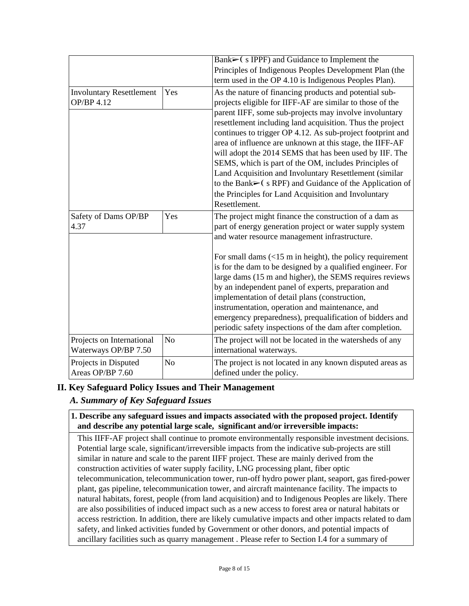|                                 |                | Bank $\triangleright$ (s IPPF) and Guidance to Implement the            |
|---------------------------------|----------------|-------------------------------------------------------------------------|
|                                 |                |                                                                         |
|                                 |                | Principles of Indigenous Peoples Development Plan (the                  |
|                                 |                | term used in the OP 4.10 is Indigenous Peoples Plan).                   |
| <b>Involuntary Resettlement</b> | Yes            | As the nature of financing products and potential sub-                  |
| <b>OP/BP 4.12</b>               |                | projects eligible for IIFF-AF are similar to those of the               |
|                                 |                | parent IIFF, some sub-projects may involve involuntary                  |
|                                 |                | resettlement including land acquisition. Thus the project               |
|                                 |                | continues to trigger OP 4.12. As sub-project footprint and              |
|                                 |                | area of influence are unknown at this stage, the IIFF-AF                |
|                                 |                | will adopt the 2014 SEMS that has been used by IIF. The                 |
|                                 |                | SEMS, which is part of the OM, includes Principles of                   |
|                                 |                | Land Acquisition and Involuntary Resettlement (similar                  |
|                                 |                | to the Bank $\triangleright$ (s RPF) and Guidance of the Application of |
|                                 |                | the Principles for Land Acquisition and Involuntary                     |
|                                 |                | Resettlement.                                                           |
| Safety of Dams OP/BP            | Yes            | The project might finance the construction of a dam as                  |
| 4.37                            |                |                                                                         |
|                                 |                | part of energy generation project or water supply system                |
|                                 |                | and water resource management infrastructure.                           |
|                                 |                | For small dams $\left($ < 15 m in height), the policy requirement       |
|                                 |                | is for the dam to be designed by a qualified engineer. For              |
|                                 |                |                                                                         |
|                                 |                | large dams (15 m and higher), the SEMS requires reviews                 |
|                                 |                | by an independent panel of experts, preparation and                     |
|                                 |                | implementation of detail plans (construction,                           |
|                                 |                | instrumentation, operation and maintenance, and                         |
|                                 |                | emergency preparedness), prequalification of bidders and                |
|                                 |                | periodic safety inspections of the dam after completion.                |
| Projects on International       | N <sub>o</sub> | The project will not be located in the watersheds of any                |
| Waterways OP/BP 7.50            |                | international waterways.                                                |
| Projects in Disputed            | N <sub>o</sub> | The project is not located in any known disputed areas as               |
| Areas OP/BP 7.60                |                | defined under the policy.                                               |

## **II. Key Safeguard Policy Issues and Their Management**

## *A. Summary of Key Safeguard Issues*

### **1. Describe any safeguard issues and impacts associated with the proposed project. Identify and describe any potential large scale, significant and/or irreversible impacts:**

This IIFF-AF project shall continue to promote environmentally responsible investment decisions. Potential large scale, significant/irreversible impacts from the indicative sub-projects are still similar in nature and scale to the parent IIFF project. These are mainly derived from the construction activities of water supply facility, LNG processing plant, fiber optic telecommunication, telecommunication tower, run-off hydro power plant, seaport, gas fired-power plant, gas pipeline, telecommunication tower, and aircraft maintenance facility. The impacts to natural habitats, forest, people (from land acquisition) and to Indigenous Peoples are likely. There are also possibilities of induced impact such as a new access to forest area or natural habitats or access restriction. In addition, there are likely cumulative impacts and other impacts related to dam safety, and linked activities funded by Government or other donors, and potential impacts of ancillary facilities such as quarry management . Please refer to Section I.4 for a summary of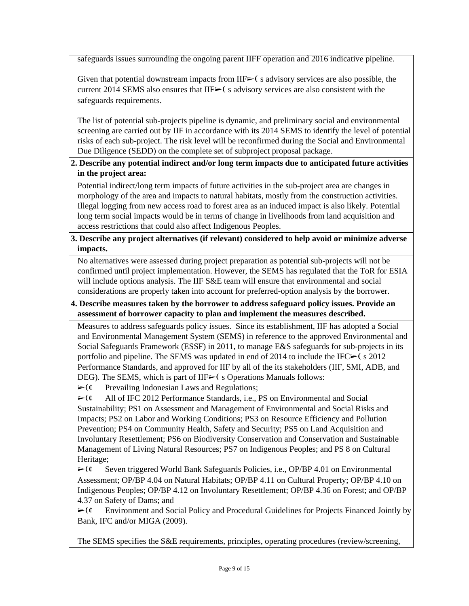safeguards issues surrounding the ongoing parent IIFF operation and 2016 indicative pipeline.

Given that potential downstream impacts from  $IIF\rightarrow C$  s advisory services are also possible, the current 2014 SEMS also ensures that  $IIF \geq 0$  s advisory services are also consistent with the safeguards requirements.

The list of potential sub-projects pipeline is dynamic, and preliminary social and environmental screening are carried out by IIF in accordance with its 2014 SEMS to identify the level of potential risks of each sub-project. The risk level will be reconfirmed during the Social and Environmental Due Diligence (SEDD) on the complete set of subproject proposal package.

### **2. Describe any potential indirect and/or long term impacts due to anticipated future activities in the project area:**

Potential indirect/long term impacts of future activities in the sub-project area are changes in morphology of the area and impacts to natural habitats, mostly from the construction activities. Illegal logging from new access road to forest area as an induced impact is also likely. Potential long term social impacts would be in terms of change in livelihoods from land acquisition and access restrictions that could also affect Indigenous Peoples.

### **3. Describe any project alternatives (if relevant) considered to help avoid or minimize adverse impacts.**

No alternatives were assessed during project preparation as potential sub-projects will not be confirmed until project implementation. However, the SEMS has regulated that the ToR for ESIA will include options analysis. The IIF S&E team will ensure that environmental and social considerations are properly taken into account for preferred-option analysis by the borrower.

### **4. Describe measures taken by the borrower to address safeguard policy issues. Provide an assessment of borrower capacity to plan and implement the measures described.**

Measures to address safeguards policy issues. Since its establishment, IIF has adopted a Social and Environmental Management System (SEMS) in reference to the approved Environmental and Social Safeguards Framework (ESSF) in 2011, to manage E&S safeguards for sub-projects in its portfolio and pipeline. The SEMS was updated in end of 2014 to include the IFC $\ge$  (s 2012) Performance Standards, and approved for IIF by all of the its stakeholders (IIF, SMI, ADB, and DEG). The SEMS, which is part of  $IIF \geq (s)$  Operations Manuals follows:

 $\triangleright$  ( $\phi$  Prevailing Indonesian Laws and Regulations;

 $\triangleright$  ( $\phi$  All of IFC 2012 Performance Standards, i.e., PS on Environmental and Social Sustainability; PS1 on Assessment and Management of Environmental and Social Risks and Impacts; PS2 on Labor and Working Conditions; PS3 on Resource Efficiency and Pollution Prevention; PS4 on Community Health, Safety and Security; PS5 on Land Acquisition and Involuntary Resettlement; PS6 on Biodiversity Conservation and Conservation and Sustainable Management of Living Natural Resources; PS7 on Indigenous Peoples; and PS 8 on Cultural Heritage;

 $\triangleright$  ( $\phi$  Seven triggered World Bank Safeguards Policies, i.e., OP/BP 4.01 on Environmental Assessment; OP/BP 4.04 on Natural Habitats; OP/BP 4.11 on Cultural Property; OP/BP 4.10 on Indigenous Peoples; OP/BP 4.12 on Involuntary Resettlement; OP/BP 4.36 on Forest; and OP/BP 4.37 on Safety of Dams; and

 $\triangleright$  ( $\epsilon$  Environment and Social Policy and Procedural Guidelines for Projects Financed Jointly by Bank, IFC and/or MIGA (2009).

The SEMS specifies the S&E requirements, principles, operating procedures (review/screening,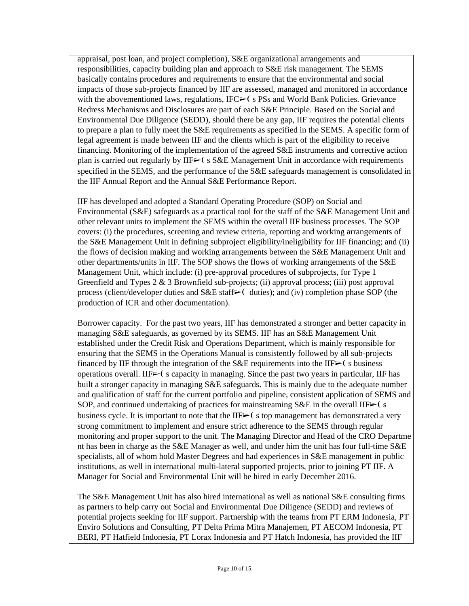appraisal, post loan, and project completion), S&E organizational arrangements and responsibilities, capacity building plan and approach to S&E risk management. The SEMS basically contains procedures and requirements to ensure that the environmental and social impacts of those sub-projects financed by IIF are assessed, managed and monitored in accordance with the abovementioned laws, regulations,  $IFC \rightarrow (s \, PSs \text{ and World Bank Policies})$ . Grievance Redress Mechanisms and Disclosures are part of each S&E Principle. Based on the Social and Environmental Due Diligence (SEDD), should there be any gap, IIF requires the potential clients to prepare a plan to fully meet the S&E requirements as specified in the SEMS. A specific form of legal agreement is made between IIF and the clients which is part of the eligibility to receive financing. Monitoring of the implementation of the agreed S&E instruments and corrective action plan is carried out regularly by  $IIF \triangleright (s \text{ S&E Management Unit in accordance with requirements})$ specified in the SEMS, and the performance of the S&E safeguards management is consolidated in the IIF Annual Report and the Annual S&E Performance Report.

IIF has developed and adopted a Standard Operating Procedure (SOP) on Social and Environmental (S&E) safeguards as a practical tool for the staff of the S&E Management Unit and other relevant units to implement the SEMS within the overall IIF business processes. The SOP covers: (i) the procedures, screening and review criteria, reporting and working arrangements of the S&E Management Unit in defining subproject eligibility/ineligibility for IIF financing; and (ii) the flows of decision making and working arrangements between the S&E Management Unit and other departments/units in IIF. The SOP shows the flows of working arrangements of the S&E Management Unit, which include: (i) pre-approval procedures of subprojects, for Type 1 Greenfield and Types 2 & 3 Brownfield sub-projects; (ii) approval process; (iii) post approval process (client/developer duties and S&E staff $\triangleright$  ( duties); and (iv) completion phase SOP (the production of ICR and other documentation).

Borrower capacity. For the past two years, IIF has demonstrated a stronger and better capacity in managing S&E safeguards, as governed by its SEMS. IIF has an S&E Management Unit established under the Credit Risk and Operations Department, which is mainly responsible for ensuring that the SEMS in the Operations Manual is consistently followed by all sub-projects financed by IIF through the integration of the S&E requirements into the IIF $\geq$  (s business operations overall. IIF➢❨ s capacity in managing. Since the past two years in particular, IIF has built a stronger capacity in managing S&E safeguards. This is mainly due to the adequate number and qualification of staff for the current portfolio and pipeline, consistent application of SEMS and SOP, and continued undertaking of practices for mainstreaming S&E in the overall IIF $\blacktriangleright$  (s) business cycle. It is important to note that the IIF $\geq$  (s top management has demonstrated a very strong commitment to implement and ensure strict adherence to the SEMS through regular monitoring and proper support to the unit. The Managing Director and Head of the CRO Departme nt has been in charge as the S&E Manager as well, and under him the unit has four full-time S&E specialists, all of whom hold Master Degrees and had experiences in S&E management in public institutions, as well in international multi-lateral supported projects, prior to joining PT IIF. A Manager for Social and Environmental Unit will be hired in early December 2016.

The S&E Management Unit has also hired international as well as national S&E consulting firms as partners to help carry out Social and Environmental Due Diligence (SEDD) and reviews of potential projects seeking for IIF support. Partnership with the teams from PT ERM Indonesia, PT Enviro Solutions and Consulting, PT Delta Prima Mitra Manajemen, PT AECOM Indonesia, PT BERI, PT Hatfield Indonesia, PT Lorax Indonesia and PT Hatch Indonesia, has provided the IIF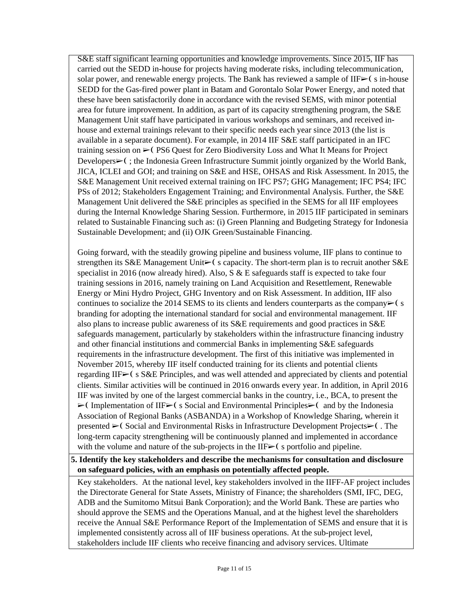S&E staff significant learning opportunities and knowledge improvements. Since 2015, IIF has carried out the SEDD in-house for projects having moderate risks, including telecommunication, solar power, and renewable energy projects. The Bank has reviewed a sample of  $IIF \rightarrow (s in-house)$ SEDD for the Gas-fired power plant in Batam and Gorontalo Solar Power Energy, and noted that these have been satisfactorily done in accordance with the revised SEMS, with minor potential area for future improvement. In addition, as part of its capacity strengthening program, the S&E Management Unit staff have participated in various workshops and seminars, and received inhouse and external trainings relevant to their specific needs each year since 2013 (the list is available in a separate document). For example, in 2014 IIF S&E staff participated in an IFC training session on ➢❨ PS6 Quest for Zero Biodiversity Loss and What It Means for Project Developers►(; the Indonesia Green Infrastructure Summit jointly organized by the World Bank, JICA, ICLEI and GOI; and training on S&E and HSE, OHSAS and Risk Assessment. In 2015, the S&E Management Unit received external training on IFC PS7; GHG Management; IFC PS4; IFC PSs of 2012; Stakeholders Engagement Training; and Environmental Analysis. Further, the S&E Management Unit delivered the S&E principles as specified in the SEMS for all IIF employees during the Internal Knowledge Sharing Session. Furthermore, in 2015 IIF participated in seminars related to Sustainable Financing such as: (i) Green Planning and Budgeting Strategy for Indonesia Sustainable Development; and (ii) OJK Green/Sustainable Financing.

Going forward, with the steadily growing pipeline and business volume, IIF plans to continue to strengthen its S&E Management Unit $\triangleright$  (s capacity. The short-term plan is to recruit another S&E specialist in 2016 (now already hired). Also, S & E safeguards staff is expected to take four training sessions in 2016, namely training on Land Acquisition and Resettlement, Renewable Energy or Mini Hydro Project, GHG Inventory and on Risk Assessment. In addition, IIF also continues to socialize the 2014 SEMS to its clients and lenders counterparts as the company $\triangleright$  (s branding for adopting the international standard for social and environmental management. IIF also plans to increase public awareness of its S&E requirements and good practices in S&E safeguards management, particularly by stakeholders within the infrastructure financing industry and other financial institutions and commercial Banks in implementing S&E safeguards requirements in the infrastructure development. The first of this initiative was implemented in November 2015, whereby IIF itself conducted training for its clients and potential clients regarding IIF➢❨ s S&E Principles, and was well attended and appreciated by clients and potential clients. Similar activities will be continued in 2016 onwards every year. In addition, in April 2016 IIF was invited by one of the largest commercial banks in the country, i.e., BCA, to present the  $\triangleright$  Implementation of IIF $\triangleright$  (s Social and Environmental Principles $\triangleright$  (and by the Indonesia Association of Regional Banks (ASBANDA) in a Workshop of Knowledge Sharing, wherein it presented ► (Social and Environmental Risks in Infrastructure Development Projects► (. The long-term capacity strengthening will be continuously planned and implemented in accordance with the volume and nature of the sub-projects in the IIF>(s) portfolio and pipeline.

### **5. Identify the key stakeholders and describe the mechanisms for consultation and disclosure on safeguard policies, with an emphasis on potentially affected people.**

Key stakeholders. At the national level, key stakeholders involved in the IIFF-AF project includes the Directorate General for State Assets, Ministry of Finance; the shareholders (SMI, IFC, DEG, ADB and the Sumitomo Mitsui Bank Corporation); and the World Bank. These are parties who should approve the SEMS and the Operations Manual, and at the highest level the shareholders receive the Annual S&E Performance Report of the Implementation of SEMS and ensure that it is implemented consistently across all of IIF business operations. At the sub-project level, stakeholders include IIF clients who receive financing and advisory services. Ultimate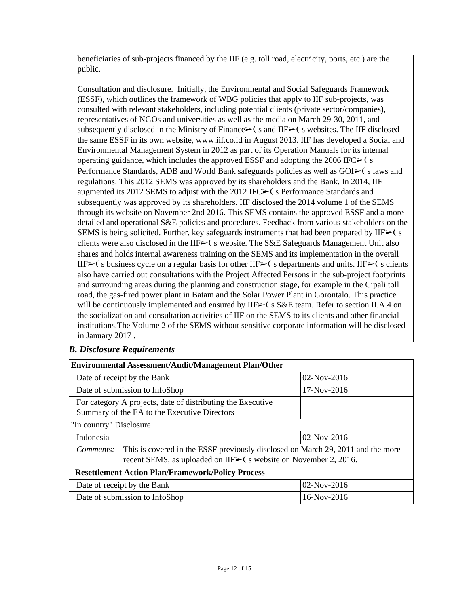beneficiaries of sub-projects financed by the IIF (e.g. toll road, electricity, ports, etc.) are the public.

Consultation and disclosure. Initially, the Environmental and Social Safeguards Framework (ESSF), which outlines the framework of WBG policies that apply to IIF sub-projects, was consulted with relevant stakeholders, including potential clients (private sector/companies), representatives of NGOs and universities as well as the media on March 29-30, 2011, and subsequently disclosed in the Ministry of Finance $\triangleright$  (s and IIF $\triangleright$  (s websites. The IIF disclosed the same ESSF in its own website, www.iif.co.id in August 2013. IIF has developed a Social and Environmental Management System in 2012 as part of its Operation Manuals for its internal operating guidance, which includes the approved ESSF and adopting the 2006 IFC $\blacktriangleright$  (s Performance Standards, ADB and World Bank safeguards policies as well as  $GOI\rightarrow$  (slaws and regulations. This 2012 SEMS was approved by its shareholders and the Bank. In 2014, IIF augmented its 2012 SEMS to adjust with the 2012 IFC $\blacktriangleright$  (s Performance Standards and subsequently was approved by its shareholders. IIF disclosed the 2014 volume 1 of the SEMS through its website on November 2nd 2016. This SEMS contains the approved ESSF and a more detailed and operational S&E policies and procedures. Feedback from various stakeholders on the SEMS is being solicited. Further, key safeguards instruments that had been prepared by IIF $\blacktriangleright$  (s clients were also disclosed in the  $IIF\rightarrow$  s website. The S&E Safeguards Management Unit also shares and holds internal awareness training on the SEMS and its implementation in the overall IIF $\triangleright$ ( s business cycle on a regular basis for other IIF $\triangleright$ ( s departments and units. IIF $\triangleright$ ( s clients also have carried out consultations with the Project Affected Persons in the sub-project footprints and surrounding areas during the planning and construction stage, for example in the Cipali toll road, the gas-fired power plant in Batam and the Solar Power Plant in Gorontalo. This practice will be continuously implemented and ensured by  $II\rightarrow$  s  $S\&E$  team. Refer to section II.A.4 on the socialization and consultation activities of IIF on the SEMS to its clients and other financial institutions.The Volume 2 of the SEMS without sensitive corporate information will be disclosed in January 2017 .

## *B. Disclosure Requirements*

| <b>Environmental Assessment/Audit/Management Plan/Other</b>                                                                                                      |               |  |  |  |
|------------------------------------------------------------------------------------------------------------------------------------------------------------------|---------------|--|--|--|
| Date of receipt by the Bank                                                                                                                                      | $02-Nov-2016$ |  |  |  |
| Date of submission to InfoShop                                                                                                                                   | $17-Nov-2016$ |  |  |  |
| For category A projects, date of distributing the Executive<br>Summary of the EA to the Executive Directors                                                      |               |  |  |  |
| "In country" Disclosure                                                                                                                                          |               |  |  |  |
| Indonesia                                                                                                                                                        | $02-Nov-2016$ |  |  |  |
| This is covered in the ESSF previously disclosed on March 29, 2011 and the more<br>Comments:<br>recent SEMS, as uploaded on IIF► (s website on November 2, 2016. |               |  |  |  |
| <b>Resettlement Action Plan/Framework/Policy Process</b>                                                                                                         |               |  |  |  |
| Date of receipt by the Bank                                                                                                                                      | $02-Nov-2016$ |  |  |  |
| Date of submission to InfoShop                                                                                                                                   | $16-Nov-2016$ |  |  |  |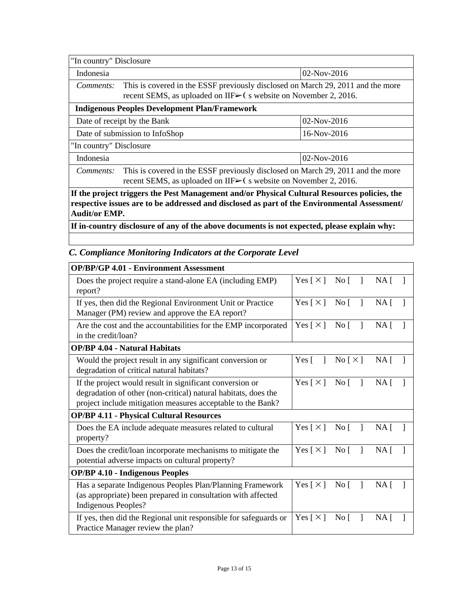| "In country" Disclosure                                                                                                                                          |                                                                                                                                                    |               |  |  |  |
|------------------------------------------------------------------------------------------------------------------------------------------------------------------|----------------------------------------------------------------------------------------------------------------------------------------------------|---------------|--|--|--|
| Indonesia                                                                                                                                                        |                                                                                                                                                    | $02-Nov-2016$ |  |  |  |
| Comments:                                                                                                                                                        | This is covered in the ESSF previously disclosed on March 29, 2011 and the more<br>recent SEMS, as uploaded on IIF⊳(s website on November 2, 2016. |               |  |  |  |
| <b>Indigenous Peoples Development Plan/Framework</b>                                                                                                             |                                                                                                                                                    |               |  |  |  |
|                                                                                                                                                                  | $02-Nov-2016$<br>Date of receipt by the Bank                                                                                                       |               |  |  |  |
| Date of submission to InfoShop<br>$16-Nov-2016$                                                                                                                  |                                                                                                                                                    |               |  |  |  |
|                                                                                                                                                                  | "In country" Disclosure                                                                                                                            |               |  |  |  |
| $02-Nov-2016$<br>Indonesia                                                                                                                                       |                                                                                                                                                    |               |  |  |  |
| This is covered in the ESSF previously disclosed on March 29, 2011 and the more<br>Comments:<br>recent SEMS, as uploaded on IIF► (s website on November 2, 2016. |                                                                                                                                                    |               |  |  |  |
| If the project triggers the Pest Management and/or Physical Cultural Resources policies, the                                                                     |                                                                                                                                                    |               |  |  |  |

**respective issues are to be addressed and disclosed as part of the Environmental Assessment/ Audit/or EMP.**

**If in-country disclosure of any of the above documents is not expected, please explain why:**

# *C. Compliance Monitoring Indicators at the Corporate Level*

| <b>OP/BP/GP 4.01 - Environment Assessment</b>                                                                                                                                             |                            |                                                                |                 |
|-------------------------------------------------------------------------------------------------------------------------------------------------------------------------------------------|----------------------------|----------------------------------------------------------------|-----------------|
| Does the project require a stand-alone EA (including EMP)<br>report?                                                                                                                      | Yes $\lceil \times \rceil$ | $\overline{N}$ o                                               | NA <sub>1</sub> |
| If yes, then did the Regional Environment Unit or Practice<br>Manager (PM) review and approve the EA report?                                                                              | Yes $\lceil \times \rceil$ | $\overline{N}$ o<br>1                                          | NA <sub>1</sub> |
| Are the cost and the accountabilities for the EMP incorporated<br>in the credit/loan?                                                                                                     |                            | Yes $\lceil \times \rceil$<br>$\overline{N}$ o<br>-1           | NA <sub>1</sub> |
| <b>OP/BP 4.04 - Natural Habitats</b>                                                                                                                                                      |                            |                                                                |                 |
| Would the project result in any significant conversion or<br>degradation of critical natural habitats?                                                                                    | Yes $\lceil$<br>1          | No [ $\times$ ]                                                | NA <sub>1</sub> |
| If the project would result in significant conversion or<br>degradation of other (non-critical) natural habitats, does the<br>project include mitigation measures acceptable to the Bank? |                            | Yes $\lceil \times \rceil$<br>$\mathbf{I}$<br>$\overline{N}$ o | NA <sub>1</sub> |
| <b>OP/BP 4.11 - Physical Cultural Resources</b>                                                                                                                                           |                            |                                                                |                 |
| Does the EA include adequate measures related to cultural<br>property?                                                                                                                    | Yes [ $\times$ ]           | $No [$ ]                                                       | NA <sub>1</sub> |
| Does the credit/loan incorporate mechanisms to mitigate the<br>potential adverse impacts on cultural property?                                                                            | Yes $\lceil \times \rceil$ | $\overline{N}$ o                                               | NA <sub>1</sub> |
| <b>OP/BP 4.10 - Indigenous Peoples</b>                                                                                                                                                    |                            |                                                                |                 |
| Has a separate Indigenous Peoples Plan/Planning Framework<br>(as appropriate) been prepared in consultation with affected<br>Indigenous Peoples?                                          | Yes $\lceil \times \rceil$ | No [                                                           | NA <sub>1</sub> |
| If yes, then did the Regional unit responsible for safeguards or<br>Practice Manager review the plan?                                                                                     | Yes $\lceil \times \rceil$ | No <sub>1</sub>                                                | $NA$ [          |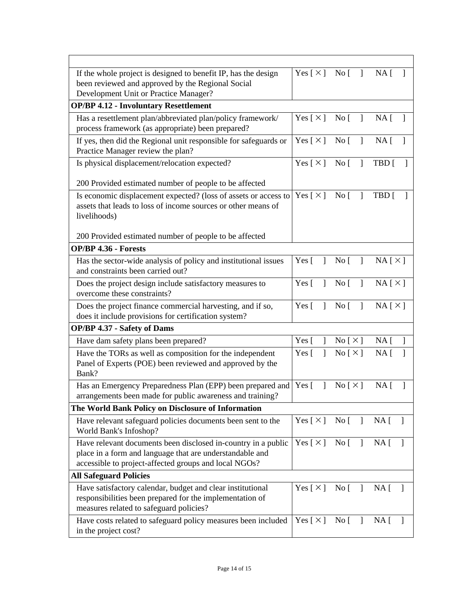| If the whole project is designed to benefit IP, has the design                                        | Yes [ $\times$ ]             | No [<br>$\mathbf{I}$             | NA [                   |
|-------------------------------------------------------------------------------------------------------|------------------------------|----------------------------------|------------------------|
| been reviewed and approved by the Regional Social                                                     |                              |                                  |                        |
| Development Unit or Practice Manager?                                                                 |                              |                                  |                        |
| <b>OP/BP 4.12 - Involuntary Resettlement</b>                                                          |                              |                                  |                        |
| Has a resettlement plan/abbreviated plan/policy framework/                                            | Yes [ $\times$ ]             | $\rm No~[$<br>$\mathbf{I}$       | NA [<br>1              |
| process framework (as appropriate) been prepared?                                                     |                              |                                  |                        |
| If yes, then did the Regional unit responsible for safeguards or<br>Practice Manager review the plan? | Yes $[\times]$               | $\overline{N}$ o<br>$\mathbf{I}$ | NA <sub>[</sub> ]<br>1 |
| Is physical displacement/relocation expected?                                                         | Yes $[\times]$ No [          | $\mathbf{I}$                     | TBD [                  |
| 200 Provided estimated number of people to be affected                                                |                              |                                  |                        |
| Is economic displacement expected? (loss of assets or access to                                       | Yes $\lceil \times \rceil$   | $\overline{N}$ o<br>$\mathbf{I}$ | TBD [                  |
| assets that leads to loss of income sources or other means of                                         |                              |                                  |                        |
| livelihoods)                                                                                          |                              |                                  |                        |
|                                                                                                       |                              |                                  |                        |
| 200 Provided estimated number of people to be affected                                                |                              |                                  |                        |
| <b>OP/BP 4.36 - Forests</b>                                                                           |                              |                                  |                        |
| Has the sector-wide analysis of policy and institutional issues                                       | Yes $\lceil$<br>1            | No [<br>1                        | NA[X]                  |
| and constraints been carried out?                                                                     | Yes $\lceil$<br>$\mathbf{I}$ |                                  |                        |
| Does the project design include satisfactory measures to                                              |                              | $\overline{N}$ o<br>$\mathbf{I}$ | NA[X]                  |
| overcome these constraints?                                                                           |                              |                                  |                        |
| Does the project finance commercial harvesting, and if so,                                            |                              | No <sub>1</sub><br>$\mathbf{I}$  | NA[X]                  |
| does it include provisions for certification system?                                                  |                              |                                  |                        |
| OP/BP 4.37 - Safety of Dams                                                                           |                              |                                  |                        |
| Have dam safety plans been prepared?                                                                  | Yes $\lceil$<br>1            | No [ $\times$ ]                  | NA <sub>[</sub> ]<br>1 |
| Have the TORs as well as composition for the independent                                              | Yes [<br>1                   | No [ $\times$ ]                  | NA [<br>1              |
| Panel of Experts (POE) been reviewed and approved by the                                              |                              |                                  |                        |
| Bank?                                                                                                 |                              |                                  |                        |
| Has an Emergency Preparedness Plan (EPP) been prepared and                                            | Yes $\lceil$<br>1            | $\text{No} \lceil \times \rceil$ | $NA \mid$<br>1         |
| arrangements been made for public awareness and training?                                             |                              |                                  |                        |
| The World Bank Policy on Disclosure of Information                                                    |                              |                                  |                        |
| Have relevant safeguard policies documents been sent to the<br>World Bank's Infoshop?                 | Yes [ $\times$ ]             | $\overline{N}$ o<br>$\mathbf{1}$ | $NA$ [ ]               |
| Have relevant documents been disclosed in-country in a public                                         | Yes [ $\times$ ]             | No [<br>$\mathbf{I}$             | NA [<br>$\mathbf{1}$   |
| place in a form and language that are understandable and                                              |                              |                                  |                        |
| accessible to project-affected groups and local NGOs?                                                 |                              |                                  |                        |
| <b>All Safeguard Policies</b>                                                                         |                              |                                  |                        |
| Have satisfactory calendar, budget and clear institutional                                            | Yes [ $\times$ ]             | No [                             | NA [<br>$\Box$         |
| responsibilities been prepared for the implementation of                                              |                              |                                  |                        |
| measures related to safeguard policies?                                                               |                              |                                  |                        |
| Have costs related to safeguard policy measures been included                                         | Yes $\lceil \times \rceil$   | No [<br>$\mathbf{I}$             | $NA \lceil$            |
| in the project cost?                                                                                  |                              |                                  |                        |